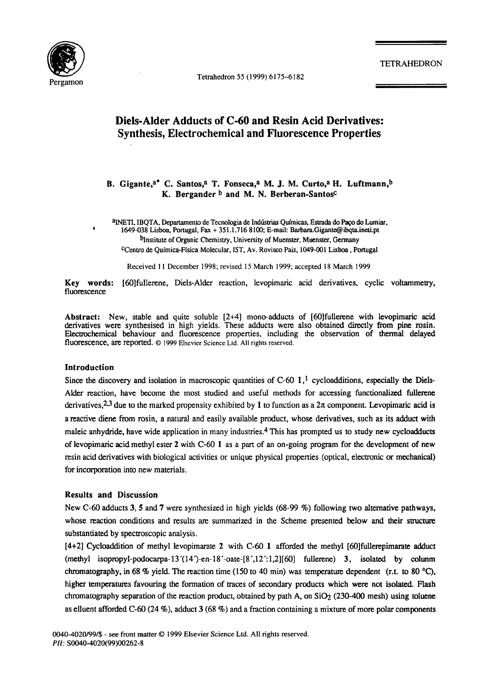

Tetrahedron 55 (1999) 6175-6182

TETRAHEDRON

# **Diels-Alder Adducts of C-60 and Resin Acid Derivatives: Synthesis, Electrochemical and Fluorescence Properties**

#### B. Gigante,<sup>a\*</sup> C. Santos,<sup>a</sup> T. Fonseca,<sup>a</sup> M. J. M. Curto,<sup>a</sup> H. Luftmann,<sup>b</sup> K. Bergander **b** and M. N. Berberan-Santos<sup>c</sup>

alNETI, IBQTA, Departamento de Tecnologia de Indústrias Químicas, Estrada do Paço do Lumiar, 1649-038 Lisboa, Portugal, Fax + 351.1.716 8100; E-mail: Barbara.Gigante@ibqta.ineti.pt bInstitute of Organic Chemistry, University of Muenster, Muenster, Germany CCentro de Quimica-Ffsica Molecular, IST, Av. Rovisco Pais, 1049-001 Lisboa, **Portugal** 

Received 11 December 1998; revised 15 March 1999; accepted 18 March 1999

**Key** words: [60]fullerene, Diels-Alder reaction, levopimaric acid derivatives, cyclic voltammetry, fluorescence

**Abstract:** New, stable and quite soluble [2+4] mono-adducts of [60]fullerene with levopimaric acid derivatives were synthesised in high yields. These adducts were also obtained directly from pine rosin. Electrochemical behaviour and fluorescence properties, including the observation of thermal delayed fluorescence, are reported. © 1999 Elsevier Science Ltd. All rights reserved.

#### **Introduction**

Since the discovery and isolation in macroscopic quantities of C-60  $1$ ,<sup>1</sup> cycloadditions, especially the Diels-Alder reaction, have become the most studied and useful methods for accessing functionalized fullerene derivatives, <sup>2,3</sup> due to the marked propensity exhibited by 1 to function as a  $2\pi$  component. Levopimaric acid is a reactive diene from rosin, a natural and easily available product, whose derivatives, such as its adduct with maleic anhydride, have wide application in many industries.<sup>4</sup> This has prompted us to study new cycloadducts of levopimaric acid methyl ester 2 with C-60 1 as a part of an on-going program for the development of **new**  resin acid derivatives with biological activities or unique physical properties (optical, electronic or mechanical) for incorporation into new materials.

#### **Results and Discussion**

New C-60 adducts 3, 5 and 7 were synthesized in high yields (68-99 %) following two alternative pathways, whose reaction conditions and results are summarized in the Scheme presented below and their structure substantiated by spectroscopic analysis.

[4+2] Cycloaddition of methyl levopimarate 2 with C-60 1 afforded the methyl [60]fullerepimarate adduct  $(methyl isopropyl-podocarpa-13'(14')-en-18'-oate-[8',12':1,2][60]$  fullerene) 3, isolated by colunm chromatography, in 68 % yield. The reaction time (150 to 40 min) was temperature dependent (r.t. to 80 °C), higher temperatures favouring the formation of traces of secondary products which were not isolated. Flash chromatography separation of the reaction product, obtained by path A, on SiO<sub>2</sub> (230-400 mesh) using toluene as elluent afforded C-60 (24 %), adduct 3 (68 %) and a fraction containing a mixture of more polar components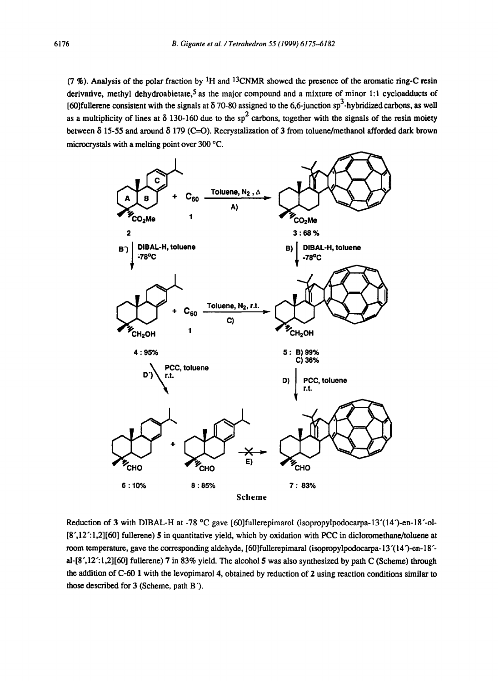(7 %). Analysis of the polar fraction by <sup>1</sup>H and <sup>13</sup>CNMR showed the presence of the aromatic ring-C resin derivative, methyl dehydroabietate,<sup>5</sup> as the major compound and a mixture of minor 1:1 cycloadducts of [60]fullerene consistent with the signals at  $\delta$  70-80 assigned to the 6,6-junction sp<sup>3</sup>-hybridized carbons, as well as a multiplicity of lines at  $\delta$  130-160 due to the sp<sup>2</sup> carbons, together with the signals of the resin moiety between  $\delta$  15-55 and around  $\delta$  179 (C=O). Recrystalization of 3 from toluene/methanol afforded dark brown microcrystals with a melting point over 300 °C.



Reduction of 3 with DIBAL-H at -78 °C gave [60]fullerepimarol (isopropylpodocarpa-13'(14')-en-18'-ol-[8',12':1,2][60] fullerene) 5 in quantitative yield, which by oxidation with PCC in dicloromethane/toluene at room temperature, gave the corresponding aldehyde, [60]fullerepimaral (isopropylpodocarpa-13'(14')-en-18'al-[8",12":1,2][60] fullerene) 7 in 83% yield. The alcohol 5 was also synthesized by path C (Scheme) through the addition of C-60 1 with the levopimarol 4, obtained by reduction of 2 using reaction conditions similar to those described for 3 (Scheme, path B').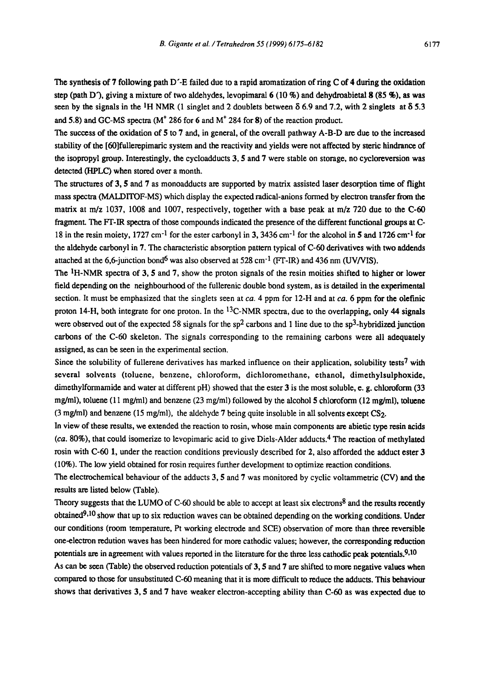The synthesis of 7 following path D'-E failed due to a rapid aromatization of ring C of 4 during the oxidation step (path D), giving a mixture of two aldehydes, levopimaral 6 (10 %) and dehydroabietal 8 (85 %), as was seen by the signals in the <sup>1</sup>H NMR (1 singlet and 2 doublets between  $\delta$  6.9 and 7.2, with 2 singlets at  $\delta$  5.3 and 5.8) and GC-MS spectra  $(M^{\dagger} 286$  for 6 and  $M^{\dagger} 284$  for 8) of the reaction product.

The success of the oxidation of 5 to 7 and, in general, of the overall pathway A-B-D arc due to the increased stability of the [60]fullerepimaric system and the reactivity and yields were not affected by steric hindrance of the isopropyl group. Interestingly, the cycloadducts 3, 5 and 7 were stable on storage, no cycloreversion was detected (HPLC) when stored over a month.

The structures of 3, 5 and 7 as monoadducts arc supported by matrix assisted laser desorption time of flight mass spectra (MALD1TOF-MS) which display the e×pected radical-anions formed by electron transfer from the matrix at m/z 1037, 1008 and 1007, respectively, together with a base peak at m/z 720 due to the C-60 fragment. The FF-IR spectra of those compounds indicated the presence of the different functional groups at C-18 in the resin moiety, 1727 cm<sup>-1</sup> for the ester carbonyl in 3, 3436 cm<sup>-1</sup> for the alcohol in 5 and 1726 cm<sup>-1</sup> for the aldehyde carbonyl in 7. The characteristic absorption pattern typical of C-60 derivatives with two addends attached at the 6,6-junction bond<sup>6</sup> was also observed at 528 cm<sup>-1</sup> (FT-IR) and 436 nm (UV/VIS).

The <sup>1</sup>H-NMR spectra of 3, 5 and 7, show the proton signals of the resin moities shifted to higher or lower field depending on the neighbourhood of the fullerenic double bond system, as is detailed in the experimental section. It must be emphasized that the singlets seen at *ca*. 4 ppm for 12-H and at *ca*. 6 ppm for the olefinic proton 14-H, both integrate for one proton. In the  $^{13}$ C-NMR spectra, due to the overlapping, only 44 signals were observed out of the expected 58 signals for the  $sp<sup>2</sup>$  carbons and 1 line due to the sp<sup>3</sup>-hybridized junction carbons of the C-60 skeleton. The signals corresponding to the remaining carbons were all adequately assigned, as can be seen in the experimental section.

Since the solubility of fullerene derivatives has marked influence on their application, solubility tests<sup>7</sup> with several solvents (toluene, benzene, chloroform, dichloromethane, ethanol, dimethylsulphoxide, dimethylformamide and water at different pH) showed that the ester 3 is the most soluble, e. g. chloroform (33 mg/ml), toluene (11 mg/ml) and benzene (23 mg/ml) followed by the alcohol 5 chloroform (12 mg/ml), toluene  $(3 \text{ mg/ml})$  and benzene  $(15 \text{ mg/ml})$ , the aldehyde 7 being quite insoluble in all solvents except CS<sub>2</sub>.

In view of these results, we extended the reaction to rosin, whose main components are abietic type resin acids *(ca.* 80%), that could isomerize to levopimaric acid to give Diels-Alder adducts. 4 The reaction of methylated rosin with C-60 1, under the reaction conditions previously described for 2, also afforded the adduct ester 3 (10%). The low yield obtained for rosin requires further development to optimize reaction conditions.

The electrochemical behaviour of the adducts 3, 5 and 7 was monitored by cyclic voltammetric (CV) and the results are listed below (Table).

Theory suggests that the LUMO of C-60 should be able to accept at least six electrons<sup>8</sup> and the results recently obtained  $9,10$  show that up to six reduction waves can be obtained depending on the working conditions. Under our conditions (room temperature, Pt working electrode and SCE) observation of more than three reversible one-electron redution waves has been hindered for more cathodic values; however, the corresponding reduction potentials are in agreement with values reported in the literature for the three less cathodic peak potentials. 9,10

As can be seen (Table) the observed reduction potentials of 3, 5 and 7 are shifted to more negative values when compared to those for unsubstituted C-60 meaning that it is more difficult to reduce the adducts. This behaviour shows that derivatives 3, 5 and 7 have weaker electron-accepting ability than C-60 as was expected due to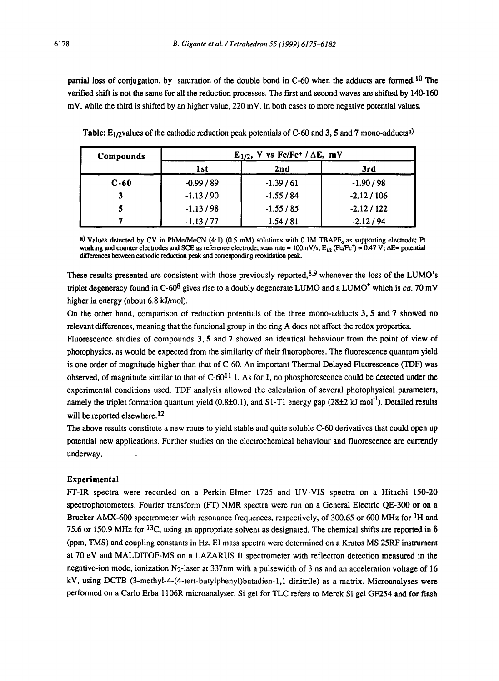partial loss of conjugation, by saturation of the double bond in C-60 when the adducts are formed.<sup>10</sup> The verified shift is not the same for all the reduction processes. The first and second waves are shifted by 140-160 mV, while the third is shifted by an higher value, 220 mV, in both cases to more negative potential values.

| Compounds | $E_{1/2}$ , V vs Fc/Fc <sup>+</sup> / $\Delta E$ , mV |            |             |
|-----------|-------------------------------------------------------|------------|-------------|
|           | 1st                                                   | 2nd        | 3rd         |
| $C-60$    | $-0.99/89$                                            | $-1.39/61$ | $-1.90/98$  |
|           | $-1.13/90$                                            | $-1.55/84$ | $-2.12/106$ |
|           | $-1.13/98$                                            | $-1.55/85$ | $-2.12/122$ |
|           | $-1.13/77$                                            | $-1.54/81$ | $-2.12/94$  |

**Table:** E<sub>1/2</sub>values of the cathodic reduction peak potentials of C-60 and 3, 5 and 7 mono-adducts<sup>a)</sup>

a) Values detected by CV in PhMe/MeCN (4:1) (0.5 mM) solutions with 0.1M TBAPF<sub>6</sub> as supporting electrode; Pt working and counter electrodes and SCE as reference electrode; scan rate = 100mV/s;  $E_{10}$  (Fc/Fc<sup>\*</sup>) = 0.47 V;  $\Delta E$ = potential differences between cathodic reduction peak and corresponding reoxidation peak.

These results presented are consistent with those previously reported, $8.9$  whenever the loss of the LUMO's triplet degeneracy found in C-60<sup>8</sup> gives rise to a doubly degenerate LUMO and a LUMO<sup>+</sup> which is *ca.* 70 mV higher in energy (about 6.8 kJ/mol).

On the other hand, comparison of reduction potentials of the three mono-adducts 3, 5 and 7 showed no relevant differences, meaning that the funcional group in the ring A does not affect the redox properties.

Fluorescence studies of compounds 3, 5 and 7 showed an identical behaviour from the point of view of photophysics, as would be expected from the similarity of their fluorophores. The fluorescence quantum yield is one order of magnitude higher than that of C-60. An important Thermal Delayed Fluorescence (TDF) was observed, of magnitude similar to that of  $C^{-6}0^{11}$  1. As for 1, no phosphorescence could be detected under the experimental conditions used. TDF analysis allowed the calculation of several photophysical parameters, namely the triplet formation quantum yield (0.8±0.1), and S1-T1 energy gap (28±2 kJ mol<sup>-1</sup>). Detailed results will be reported elsewhere.<sup>12</sup>

The above results constitute a new route to yield stable and quite soluble C-60 derivatives that could open up potential new applications. Further studies on the electrochemical behaviour and fluorescence are currently underway.

#### **Experimental**

FT-IR spectra were recorded on a Perkin-Elmer 1725 and UV-VIS spectra on a Hitachi 150-20 spectrophotometers. Fourier transform (FT) NMR spectra were run on a General Electric QE-300 or on a Brucker AMX-600 spectrometer with resonance frequences, respectively, of 300.65 or 600 MHz for <sup>1</sup>H and 75.6 or 150.9 MHz for <sup>13</sup>C, using an appropriate solvent as designated. The chemical shifts are reported in  $\delta$ (ppm, TMS) and coupling constants in Hz. E1 mass spectra were determined on a Kratos MS 25RF instrument at 70 eV and MALDITOF-MS on a LAZARUS II spectrometer with reflectron detection measured in the negative-ion mode, ionization N2-1aser at 337nm with a pulsewidth of 3 ns and an acceleration voltage of 16 kV, using DCTB (3-methyl-4-(4-tert-butylphenyl)butadien-l,l-dinitrile) as a matrix. Microanalyses were performed on a Carlo Erba 1106R microanalyser. Si gel for TLC refers to Merck Si gel GF254 and for flash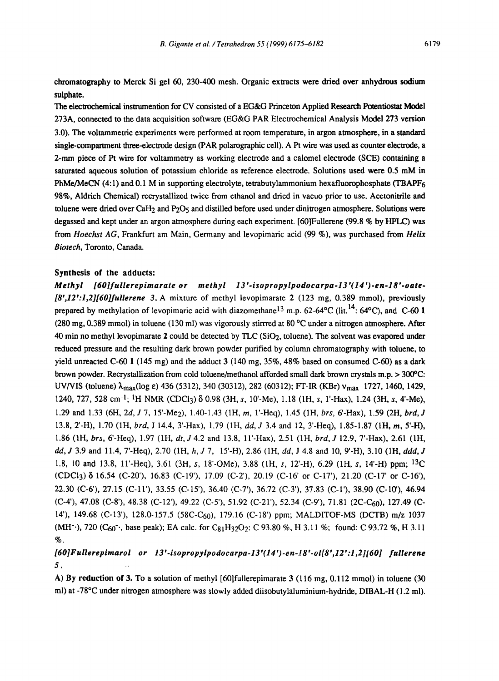chromatography to Merck Si gel 60, 230-400 mesh. Organic extracts were dried over anhydrous sodium **sulphate.** 

The elecu'ochemical instrumention for CV consisted of a *EG&G* Princeton Applied Research Potentiostat Model 273A, connected to the data acquisition software (EG&G PAR Electrochemical Analysis Model 273 version 3.0). The voltammetric experiments were performed at room temperature, in argon atmosphere, in a standard single-compartment three-electrode design (PAR polarographic cell). A Pt wire was used as counter electrode, a 2-mm piece of Pt wire for voltammetry as working electrode and a calomel electrode (SCE) containing a saturated aqueous solution of potassium chloride as reference electrode. Solutions used were 0.5 mM in PhMe/MeCN (4:1) and 0.1 M in supporting electrolyte, tetrabutylammonium hexafluorophosphate (TBAPF6 98%, Aldrich Chemical) recrystallized twice from ethanol and dried in vacuo prior to use. Acetonitrile **and**  toluene were dried over CaH<sub>2</sub> and P<sub>2</sub>O<sub>5</sub> and distilled before used under dinitrogen atmosphere. Solutions were degassed and kept under an argon atmosphere during each experiment. [60]Fullerene (99.8 % by HPLC) was from *Hoechst AG,* Frankfurt am Main, Germany and levopimaric acid (99 %), was purchased from *Helix Biotech,* Toronto, Canada.

#### **Synthesis of the adducts:**

*Methyl [60]fullerepimarate or methyl 13'-isopropylpodocarpa-13'(14')-en-18'.oate- [8',12':l,2][60]fullerene* 3. A mixture of methyl levopimarate 2 (123 mg, 0.389 mmol), previously prepared by methylation of levopimaric acid with diazomethane  $^{13}$  m.p. 62-64°C (lit.<sup>14</sup>: 64°C), and C-60 1 (280 mg, 0.389 mmol) in toluene (130 ml) was vigorously stirrred at 80 °C under a nitrogen atmosphere. After 40 min no methyl levopimarate 2 could be detected by TLC (SIO2, toluene). The solvent was evapored under reduced pressure and the resulting dark brown powder purified by column chromatography with toluene, to yield unreacted C-60 1 (145 mg) and the adduct  $3$  (140 mg,  $35\%$ , 48% based on consumed C-60) as a dark brown powder. Recrystallization from cold toluene/methanol afforded small dark brown crystals m.p. > 300°C: UV/VIS (toluene)  $\lambda_{\text{max}}$ (log e) 436 (5312), 340 (30312), 282 (60312); FT-IR (KBr)  $v_{\text{max}}$  1727, 1460, 1429, 1240, 727, 528 cm<sup>-1</sup>; <sup>1</sup>H NMR (CDCl<sub>3</sub>)  $\delta$  0.98 (3H, s, 10'-Me), 1.18 (1H, s, 1'-Hax), 1.24 (3H, s, 4'-Me), 1.29 and 1.33 (6H, 2d, J 7, 15'-Me2), 1.40-1.43 (1H, m, l'-Heq), 1.45 (1H, *brs,* 6'-Hax), 1.59 (2H, *brd, J*  13.8, 2'-H), 1.70 (1H, *brd,* J 14.4, 3'-Hax), 1.79 (1H, *dd, J* 3.4 and 12, 3'-Heq), 1.85-1.87 (1H, m, 5'-H), 1.86 (1H, *brs,* 6'-Heq), 1.97 (1H, *dt, J* 4.2 and 13.8, ll'-Hax), 2.51 (1H, *brd, J* 12.9, 7'-Hax), 2.61 (IH, *dd, J* 3.9 and 11.4, 7'-Heq), 2.70 (1H, *h,J* 7, 15'-H), 2.86 (1H, *dd,* J 4.8 and 10, 9'-H), 3.10 (1H, *ddd, J*  1.8, 10 and 13.8, 11'-Heq), 3.61 (3H, s, 18'-OMe), 3.88 (1H, s, 12'-H), 6.29 (1H, s, 14'-H) ppm; <sup>13</sup>C (CDCl<sub>3</sub>)  $\delta$  16.54 (C-20'), 16.83 (C-19'), 17.09 (C-2'), 20.19 (C-16' or C-17'), 21.20 (C-17' or C-16'), 22.30 (C-6'), 27.15 (C-IF), 33.55 (C-15'), 36.40 (C-7'), 36.72 (C-3'), 37.83 (C-I'), 38.90 (C-10'), 46.94 (C-4'), 47.08 (C-8'), 48.38 (C-12'), 49.22 (C-5'), 51.92 (C-21'), 52.34 (C-9'), 71.81 (2C-C<sub>60</sub>), 127.49 (C-14'), 149.68 (C-13'), 128.0-157.5 (58C-C60), 179.16 (C-18') ppm; MALDITOF-MS (DCTB) m/z 1037 (MH<sup>-.</sup>), 720 (C<sub>60</sub><sup>-</sup>., base peak); EA calc. for C<sub>81</sub>H<sub>32</sub>O<sub>2</sub>: C 93.80 %, H 3.11 %; found: C 93.72 %, H 3.11 %.

## *[60]Fullerepimarol or 13'-isopropylpodocarpa.13'(14').en.18'.ol[8',12':l,211601 fullerene 5. ..*

A) By **reduction of** 3. To a solution of methyl [60]fullerepimarate 3 (116 mg, 0.112 mmol) in toluene (30 ml) at -78°C under nitrogen atmosphere was slowly added diisobutylaluminium-hydride, DIBAL-H (1.2 ml).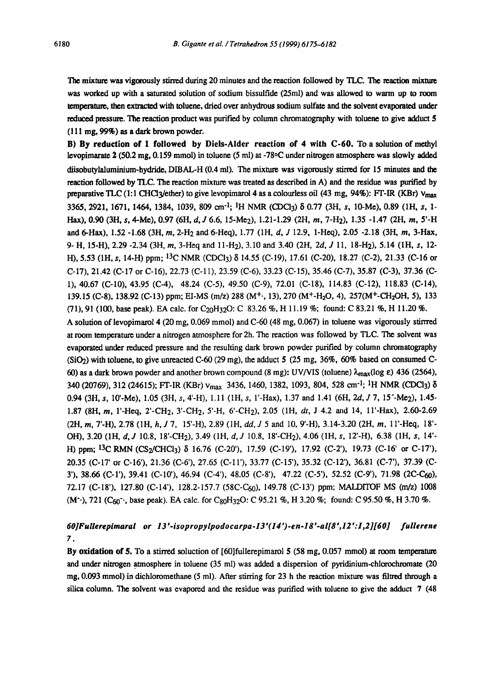The mixture was vigorously stirred during 20 minutes and the reaction followed by TLC. The reaction mixture was worked up with a saturated solution of sodium bissulfide (25ml) and was allowed to warm up to room temperature, then extracted with toluene, dried over anhydrous sodium sulfate and the solvent evaporated under reduced pressure. The reaction product was purified by column chromatography with toluene to give adduct 5  $(111 \text{ mg}, 99\%)$  as a dark brown powder.

B) By reduction of 1 followed by Diels-Alder **reaction of 4 with C-60. To a** solution of methyl levopimarate 2 (50.2 mg, 0.159 mmol) in toluene (5 ml) at -78°C under nitrogen atmosphere was slowly added diisobutylaluminium-hydride, DIBAL-H (0.4 ml). The mixture was vigorously stirred for 15 minutes and the reaction followed by TLC. The reaction mixture was treated as described in A) and the residue was purified by preparative TLC (1:1 CHCl3/ether) to give levopimarol 4 as a colourless oil (43 rag, 94%): FT-IR (KBr)  $v_{\text{max}}$ 3365, 2921, 1671, 1464, 1384, 1039, 809 cm<sup>-1</sup>; <sup>1</sup>H NMR (CDCl3)  $\delta$  0.77 (3H, s, 10-Me), 0.89 (1H, s, 1-Hax), 0.90 (3H, s, 4-Me), 0.97 (6H, *d,J* 6.6, 15-Me2), 1.21-1.29 (2H, m, 7-H2), 1.35 -1.47 (2H, m, 5'-H and 6-Hax), 1.52 -1.68 (3H, m, 2-H2 and 6-Heq), 1.77 (1H, d, J 12.9, 1-Heq), 2.05 -2.18 (3H, m, 3-Hax, 9- H, 15-H), 2.29 -2.34 (3H, m, 3-Heq and ll-H2), 3.10 and 3.40 (2H, 2d, J 11, 18-H2), 5.14 (1H, s, 12- H), 5.53 (1H, s, 14-H) ppm; 13C NMR (CDCI3) 5 14.55 (C-19), 17.61 (C-20), 18.27 (C-2), 21.33 (C-16 or C-17), 21.42 (C-17 or C-16), 22.73 (C-11), 23.59 (C-6), 33.23 (C-15), 35.46 (C-7), 35.87 (C-3), 37.36 (C-1), 40.67 (C-10), 43.95 (C-4), 48.24 (C-5), 49.50 (C-9), 72.01 (C-18), 114.83 (C-12), 118.83 (C-14), 139.15 (C-8), 138.92 (C-13) ppm; EI-MS (m/z) 288 (M<sup>+</sup>-, 13), 270 (M<sup>+</sup>-H<sub>2</sub>O, 4), 257(M<sup>+</sup>-CH<sub>2</sub>OH, 5), 133 (71), 91 (100, base peak). EA calc. for C<sub>20</sub>H<sub>32</sub>O: C 83.26 %, H 11.19 %; found: C 83.21 %, H 11.20 %. A solution of levopimarol 4 (20 mg,  $0.069$  mmol) and C-60 (48 mg, 0.067) in toluene was vigorously stirred

at room temperature under a nitrogen atmosphere for 2h. The reaction was followed by TLC. The solvent was evaporated under reduced pressure and the resulting dark brown powder purified by column chromatography  $(SiO<sub>2</sub>)$  with toluene, to give unreacted C-60 (29 mg), the adduct 5 (25 mg, 36%, 60% based on consumed C-60) as a dark brown powder and another brown compound (8 mg): UV/VIS (toluene)  $\lambda_{\text{max}}(\log \epsilon)$  436 (2564), 340 (20769), 312 (24615); FT-IR (KBr) Vmax 3436, 1460, 1382, 1093, 804, 528 cm'l; 1H NMR (CDCI3) 0.94 **(3H, s,** 10'-Me), 1.05 (3H, s, 4'-H), 1.11 (IH, s, l'-Hax), 1.37 and 1.41 (6H, 2d, J 7, 15"-Me2), 1.45- 1.87 (SH, m, l'-Heq, 2'-CH2, 3'-CH2, 5'-H, 6'-CH2), 2.05 (1H, *dr,* J 4.2 and 14, ll'-Hax), 2.60-2.69 (2H, m, 7'-H), 2.78 (1H, *h,J* 7, 15'-H), 2.89 (1H, *dd, J* 5 and 10, 9'-H), 3.14-3.20 (2H, m, 1 l'-Heq, 18'- OH), 3.20 (1H, *d,J* 10.8, 18'-CH2), 3.49 (1H, *d,J* 10.8, 18'-CH2), 4.06 (1H, s, 12'-H), 6.38 (1H, s, 14'- H) ppm;  ${}^{13}C$  RMN (CS<sub>2</sub>/CHCl<sub>3</sub>)  $\delta$  16.76 (C-20'), 17.59 (C-19'), 17.92 (C-2'), 19.73 (C-16' or C-17'), 20.35 (C-17' or C-16'), 21.36 (C-6'), 27.65 (C-11'), 33.77 (C-15'), 35.32 (C-12'), 36.81 (C-7'), 37.39 (C-3'), 38.66 (C-1'), 39.41 (C-10'), 46.94 (C-4'), 48.05 (C-8'), 47.22 (C-5'), 52.52 (C-9'), 71.98 (2C-C60), 72.17 (C-18'), 127.80 (C-14'), 128.2-157.7 (58C-C<sub>60</sub>), 149.78 (C-13') ppm; MALDITOF MS (m/z) 1008 (M<sup>-</sup>), 721 (C<sub>60</sub><sup>-</sup>, base peak). EA calc. for C<sub>80</sub>H<sub>32</sub>O: C 95.21 %, H 3.20 %; found: C 95.50 %, H 3.70 %.

### *60]Fullerepimaral or 13'.isopropylpodocarpa-13'(14')-en-18'-al[8',12':l,2][60] fullerene 7.*

By oxidation of 5. To a stirred soluction of [60]fullerepimarol 5 (58 mg, 0.057 mmol) at room temperature and under nitrogen atmosphere in toluene (35 ml) was added a dispersion of pyridinium-chlorochromate (20 mg, 0.093 mmol) in dichloromethane (5 ml). After stirring for 23 h the reaction mixture was filtred through a silica column. The solvent was evapored and the residue was purified with toluene to give the adduct 7 (48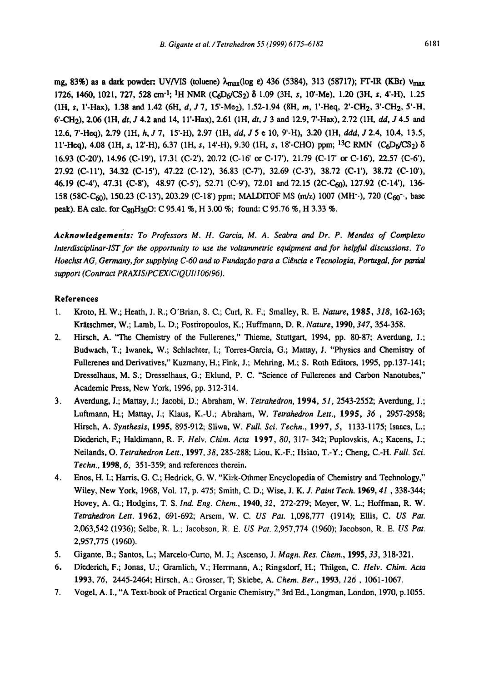mg, 83%) as a dark powder: UV/VIS (toluene)  $\lambda_{\text{max}}$ (log e) 436 (5384), 313 (58717); FT-IR (KBr)  $v_{\text{max}}$ 1726, 1460, 1021, 727, 528 era-l; IH NMR (C6D6/CS2) 8 1.09 (3H, s, 10'-Me), 1.20 (3H, s, 4'-H), 1.25 (1H, s, 1'-Hax), 1.38 and 1.42 (6H, *d, J* 7, 15'-Me<sub>2</sub>), 1.52-1.94 (8H, *m*, 1'-Heq, 2'-CH<sub>2</sub>, 3'-CH<sub>2</sub>, 5'-H, 6'-CH<sub>2</sub>), 2.06 (1H, *dt*, *J* 4.2 and 14, 11'-Hax), 2.61 (1H, *dt*, *J* 3 and 12.9, 7'-Hax), 2.72 (1H, *dd*, *J* 4.5 and 12.6, 7'-Heq), 2.79 (1H, *h, J7,* 15'-H), 2.97 (1H, *dd, J5 e* 10, 9'-H), 3.20 (1H, *ddd,* J2.4, 10.4, 13.5, 11'-Heq), 4.08 (1H, s, 12'-H), 6.37 (1H, s, 14'-H), 9.30 (1H, s, 18'-CHO) ppm; <sup>13</sup>C RMN (C<sub>6</sub>D<sub>6</sub>/CS<sub>2</sub>) δ 16.93 (C-20'), 14.96 (C-19'), 17.31 (C-2'), 20.72 (C-16' or C-17'), 21.79 (C-17' or C-16'), 22.57 (C-6'), 27.92 (C-11'), 34.32 (C-15'), 47.22 (C-12'), 36.83 (C-7'), 32.69 (C-3'), 38.72 (C-I'), 38.72 (C-10'), 46.19 (C-4'), 47.31 (C-8'), 48.97 (C-5'), 52.71 (C-9'), 72.01 and 72.15 (2C-C60), 127.92 (C-14'), 136- 158 (58C-C<sub>60</sub>), 150.23 (C-13'), 203.29 (C-18') ppm; MALDITOF MS (m/z) 1007 (MH<sup>-</sup>·), 720 (C<sub>60</sub><sup>-</sup>·, base peak). EA calc. for C<sub>80</sub>H<sub>30</sub>O: C 95.41 %, H 3.00 %; found: C 95.76 %, H 3.33 %.

*Acknowledgements: To Professors M. H. Garcia, M. A. Seabra and Dr. P. Mendes of Complexo Interdisciplinar-lST for the opportunity to use the voltammetric equipment and for helpful discussions. To Hoechst AG, Germany, for supplying C-60 and to Fundação para a Ciência e Tecnologia, Portugal, for partial* support (Contract PRAXIS/PCEX/C/QUI/106/96).

#### **References**

- 1. Kroto, H. W.; Heath, J. R.; O'Brian, S. C.; Curl, R. F.; Smalley, R. E. *Nature,* 1985, *318,* 162-163; Kratschmer, W.; Lamb, L. D.; Fostiropoulos, K.; Huffmann, D. R. *Nature,* 1990, *347,* 354-358.
- 2. Hirsch, A. "The Chemistry of the Fullerenes," Thieme, Stuttgart, 1994, pp. 80-87; Averdung, J.; Budwach, T.; Iwanek, W.; Schlachter, I.; Torres-Garcia, G.; Mattay, J. "Physics and Chemistry of Fullerenes and Derivatives," Kuzmany, H.; Fink, J.; Mehring, M.; S. Roth Editors, 1995, pp.137-141; Dresselhaus, M. S.; Dresselhaus, G.; Eklund, P. C. "Science of Fullerenes and Carbon Nanotubes," Academic Press, New York, 1996, pp. 312-314.
- 3. Averdung, J.; Mattay, J.; Jacobi, D.; Abraham, W. *Tetrahedron,* 1994, *51,* 2543-2552; Averdung, J.; Luftmann, H.; Mattay, J.; Klaus, K.-U.; Abraham, W. *Tetrahedron Lett.,* 1995, *36* , 2957-2958; Hirsch, A. *Synthesis,* 1995, 895-912; Sliwa, W. *Full. Sci. Techn.,* 1997, 5, 1133-1175; Isaacs, L.; Diederich, F.; Haldimann, R. F. *Helv. Chim. Acta* 1997, *80,* 317- 342; Puplovskis, A.; Kacens, J.; Neilands, O. *Tetrahedron Lett.,* 1997, *38,* 285-288; Liou, K.-F.; Hsiao, T.-Y.; Cheng, C.-H. *Full. Sci. Techn.,* 1998, 6, 351-359; and references therein.
- 4. Enos, H. I.; Harris, G. C.; Hedrick, G. W. "Kirk-Othmer Encyclopedia of Chemistry and Technology," Wiley, New York, 1968, Vol. 17, p. 475; Smith, C. D.; Wise, *J. K. J. Paint Tech.* 1969, *41,338-344;*  Hovey, A. G.; Hodgins, T. S. *Ind. Eng. Chem.,* 1940, *32,* 272-279; Meyer, W. L.; Hoffman, R. W. *Tetrahedron Lett.* 1962, 691-692; Arsem, W. C. *US Pat.* 1,098,777 (1914); Ellis, C. *US Pat.*  2,063,542 (1936); Selbe, R. L.; Jacobson, R. E. *US Pat.* 2,957,774 (1960); Jacobson, R. E. *US Pat.*  2,957,775 (1960).
- 5. Gigante, B.; Santos, L.; Marcelo-Curto, M. J.; Ascenso, J. *Magn. Res. Chem.,* 1995, *33,* 318-321.
- 6. Diederich, F.; Jonas, U.; Gramlich, V.; Herrmann, A.; Ringsdorf, H.; Thilgen, C. *Helv. Chim. Acta*  1993, *76,* 2445-2464; Hirsch, A.; Grosser, T; Skiebe, A. *Chem. Ber.,* 1993, *126,* 1061-1067.
- 7. Vogel, A. I., "A Text-book of Practical Organic Chemistry," 3rd Ed., Longman, London, 1970, p. 1055.